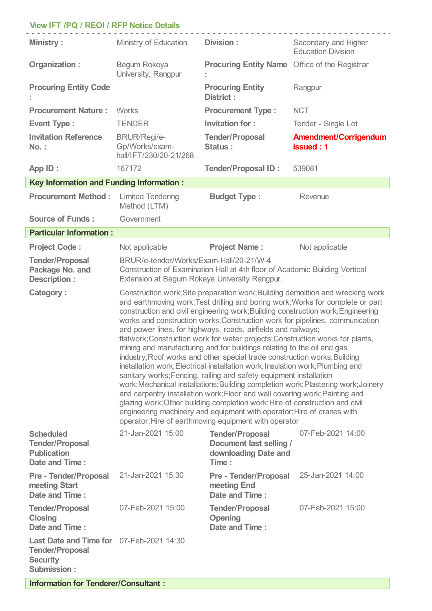## **View IFT /PQ / REOI / RFP Notice Details**

l.

| <b>Ministry:</b>                                                                                            | Ministry of Education                                                                                                                                                                                                                                                                                                                                                                                                                                                                                                                                                                                                                                                                                                                                                                                                                                                                                                                                                                                                                                                                                                                                                                            | Division:<br>Secondary and Higher<br><b>Education Division</b>                     |                                           |  |
|-------------------------------------------------------------------------------------------------------------|--------------------------------------------------------------------------------------------------------------------------------------------------------------------------------------------------------------------------------------------------------------------------------------------------------------------------------------------------------------------------------------------------------------------------------------------------------------------------------------------------------------------------------------------------------------------------------------------------------------------------------------------------------------------------------------------------------------------------------------------------------------------------------------------------------------------------------------------------------------------------------------------------------------------------------------------------------------------------------------------------------------------------------------------------------------------------------------------------------------------------------------------------------------------------------------------------|------------------------------------------------------------------------------------|-------------------------------------------|--|
| Organization:                                                                                               | Begum Rokeya<br>University, Rangpur                                                                                                                                                                                                                                                                                                                                                                                                                                                                                                                                                                                                                                                                                                                                                                                                                                                                                                                                                                                                                                                                                                                                                              | <b>Procuring Entity Name</b> Office of the Registrar                               |                                           |  |
| <b>Procuring Entity Code</b>                                                                                | <b>Procuring Entity</b><br>District:                                                                                                                                                                                                                                                                                                                                                                                                                                                                                                                                                                                                                                                                                                                                                                                                                                                                                                                                                                                                                                                                                                                                                             |                                                                                    | Rangpur                                   |  |
| <b>Procurement Nature:</b>                                                                                  | <b>Works</b>                                                                                                                                                                                                                                                                                                                                                                                                                                                                                                                                                                                                                                                                                                                                                                                                                                                                                                                                                                                                                                                                                                                                                                                     | <b>Procurement Type:</b>                                                           | <b>NCT</b>                                |  |
| <b>Event Type:</b>                                                                                          | <b>TENDER</b>                                                                                                                                                                                                                                                                                                                                                                                                                                                                                                                                                                                                                                                                                                                                                                                                                                                                                                                                                                                                                                                                                                                                                                                    | Invitation for:                                                                    | Tender - Single Lot                       |  |
| <b>Invitation Reference</b><br><b>No.:</b>                                                                  | <b>BRUR/Regi/e-</b><br>Gp/Works/exam-<br>hall/IFT/230/20-21/268                                                                                                                                                                                                                                                                                                                                                                                                                                                                                                                                                                                                                                                                                                                                                                                                                                                                                                                                                                                                                                                                                                                                  | <b>Tender/Proposal</b><br>Status:                                                  | <b>Amendment/Corrigendum</b><br>issued: 1 |  |
| App ID:                                                                                                     | 167172                                                                                                                                                                                                                                                                                                                                                                                                                                                                                                                                                                                                                                                                                                                                                                                                                                                                                                                                                                                                                                                                                                                                                                                           | <b>Tender/Proposal ID:</b>                                                         | 539081                                    |  |
| <b>Key Information and Funding Information:</b>                                                             |                                                                                                                                                                                                                                                                                                                                                                                                                                                                                                                                                                                                                                                                                                                                                                                                                                                                                                                                                                                                                                                                                                                                                                                                  |                                                                                    |                                           |  |
| <b>Procurement Method:</b>                                                                                  | <b>Limited Tendering</b><br>Method (LTM)                                                                                                                                                                                                                                                                                                                                                                                                                                                                                                                                                                                                                                                                                                                                                                                                                                                                                                                                                                                                                                                                                                                                                         | <b>Budget Type:</b>                                                                | Revenue                                   |  |
| <b>Source of Funds:</b>                                                                                     | Government                                                                                                                                                                                                                                                                                                                                                                                                                                                                                                                                                                                                                                                                                                                                                                                                                                                                                                                                                                                                                                                                                                                                                                                       |                                                                                    |                                           |  |
| <b>Particular Information:</b>                                                                              |                                                                                                                                                                                                                                                                                                                                                                                                                                                                                                                                                                                                                                                                                                                                                                                                                                                                                                                                                                                                                                                                                                                                                                                                  |                                                                                    |                                           |  |
| <b>Project Code:</b>                                                                                        | Not applicable                                                                                                                                                                                                                                                                                                                                                                                                                                                                                                                                                                                                                                                                                                                                                                                                                                                                                                                                                                                                                                                                                                                                                                                   | <b>Project Name:</b>                                                               | Not applicable                            |  |
| <b>Tender/Proposal</b><br>Package No. and<br><b>Description:</b>                                            | BRUR/e-tender/Works/Exam-Hall/20-21/W-4<br>Construction of Examination Hall at 4th floor of Academic Building Vertical<br>Extension at Begum Rokeya University Rangpur.                                                                                                                                                                                                                                                                                                                                                                                                                                                                                                                                                                                                                                                                                                                                                                                                                                                                                                                                                                                                                          |                                                                                    |                                           |  |
| <b>Category:</b>                                                                                            | Construction work; Site preparation work; Building demolition and wrecking work<br>and earthmoving work; Test drilling and boring work; Works for complete or part<br>construction and civil engineering work; Building construction work; Engineering<br>works and construction works; Construction work for pipelines, communication<br>and power lines, for highways, roads, airfields and railways;<br>flatwork; Construction work for water projects; Construction works for plants,<br>mining and manufacturing and for buildings relating to the oil and gas<br>industry; Roof works and other special trade construction works; Building<br>installation work; Electrical installation work; Insulation work; Plumbing and<br>sanitary works; Fencing, railing and safety equipment installation<br>work; Mechanical installations; Building completion work; Plastering work; Joinery<br>and carpentry installation work; Floor and wall covering work; Painting and<br>glazing work; Other building completion work; Hire of construction and civil<br>engineering machinery and equipment with operator; Hire of cranes with<br>operator; Hire of earthmoving equipment with operator |                                                                                    |                                           |  |
| <b>Scheduled</b><br><b>Tender/Proposal</b><br><b>Publication</b><br>Date and Time:                          | 21-Jan-2021 15:00                                                                                                                                                                                                                                                                                                                                                                                                                                                                                                                                                                                                                                                                                                                                                                                                                                                                                                                                                                                                                                                                                                                                                                                | <b>Tender/Proposal</b><br>Document last selling /<br>downloading Date and<br>Time: | 07-Feb-2021 14:00                         |  |
| <b>Pre - Tender/Proposal</b><br>meeting Start<br>Date and Time:                                             | 21-Jan-2021 15:30                                                                                                                                                                                                                                                                                                                                                                                                                                                                                                                                                                                                                                                                                                                                                                                                                                                                                                                                                                                                                                                                                                                                                                                | <b>Pre - Tender/Proposal</b><br>meeting End<br>Date and Time:                      | 25-Jan-2021 14:00                         |  |
| <b>Tender/Proposal</b><br><b>Closing</b><br>Date and Time:                                                  | 07-Feb-2021 15:00                                                                                                                                                                                                                                                                                                                                                                                                                                                                                                                                                                                                                                                                                                                                                                                                                                                                                                                                                                                                                                                                                                                                                                                | <b>Tender/Proposal</b><br><b>Opening</b><br>Date and Time:                         | 07-Feb-2021 15:00                         |  |
| Last Date and Time for 07-Feb-2021 14:30<br><b>Tender/Proposal</b><br><b>Security</b><br><b>Submission:</b> |                                                                                                                                                                                                                                                                                                                                                                                                                                                                                                                                                                                                                                                                                                                                                                                                                                                                                                                                                                                                                                                                                                                                                                                                  |                                                                                    |                                           |  |

**Information for Tenderer/Consultant :**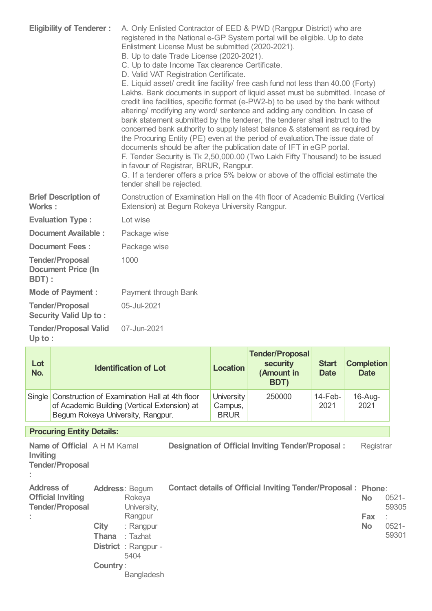| <b>Eligibility of Tenderer:</b>                              | A. Only Enlisted Contractor of EED & PWD (Rangpur District) who are<br>registered in the National e-GP System portal will be eligible. Up to date<br>Enlistment License Must be submitted (2020-2021).<br>B. Up to date Trade License (2020-2021).<br>C. Up to date Income Tax clearence Certificate.<br>D. Valid VAT Registration Certificate.<br>E. Liquid asset/ credit line facility/ free cash fund not less than 40.00 (Forty)<br>Lakhs. Bank documents in support of liquid asset must be submitted. Incase of<br>credit line facilities, specific format (e-PW2-b) to be used by the bank without<br>altering/ modifying any word/ sentence and adding any condition. In case of<br>bank statement submitted by the tenderer, the tenderer shall instruct to the<br>concerned bank authority to supply latest balance & statement as required by<br>the Procuring Entity (PE) even at the period of evaluation. The issue date of<br>documents should be after the publication date of IFT in eGP portal.<br>F. Tender Security is Tk 2,50,000.00 (Two Lakh Fifty Thousand) to be issued<br>in favour of Registrar, BRUR, Rangpur.<br>G. If a tenderer offers a price 5% below or above of the official estimate the<br>tender shall be rejected. |  |  |  |  |
|--------------------------------------------------------------|-----------------------------------------------------------------------------------------------------------------------------------------------------------------------------------------------------------------------------------------------------------------------------------------------------------------------------------------------------------------------------------------------------------------------------------------------------------------------------------------------------------------------------------------------------------------------------------------------------------------------------------------------------------------------------------------------------------------------------------------------------------------------------------------------------------------------------------------------------------------------------------------------------------------------------------------------------------------------------------------------------------------------------------------------------------------------------------------------------------------------------------------------------------------------------------------------------------------------------------------------------------|--|--|--|--|
| <b>Brief Description of</b><br>Works:                        | Construction of Examination Hall on the 4th floor of Academic Building (Vertical<br>Extension) at Begum Rokeya University Rangpur.                                                                                                                                                                                                                                                                                                                                                                                                                                                                                                                                                                                                                                                                                                                                                                                                                                                                                                                                                                                                                                                                                                                        |  |  |  |  |
| <b>Evaluation Type:</b>                                      | Lot wise                                                                                                                                                                                                                                                                                                                                                                                                                                                                                                                                                                                                                                                                                                                                                                                                                                                                                                                                                                                                                                                                                                                                                                                                                                                  |  |  |  |  |
| <b>Document Available:</b>                                   | Package wise                                                                                                                                                                                                                                                                                                                                                                                                                                                                                                                                                                                                                                                                                                                                                                                                                                                                                                                                                                                                                                                                                                                                                                                                                                              |  |  |  |  |
| <b>Document Fees:</b>                                        | Package wise                                                                                                                                                                                                                                                                                                                                                                                                                                                                                                                                                                                                                                                                                                                                                                                                                                                                                                                                                                                                                                                                                                                                                                                                                                              |  |  |  |  |
| <b>Tender/Proposal</b><br><b>Document Price (In</b><br>BDT): | 1000                                                                                                                                                                                                                                                                                                                                                                                                                                                                                                                                                                                                                                                                                                                                                                                                                                                                                                                                                                                                                                                                                                                                                                                                                                                      |  |  |  |  |
| <b>Mode of Payment:</b>                                      | Payment through Bank                                                                                                                                                                                                                                                                                                                                                                                                                                                                                                                                                                                                                                                                                                                                                                                                                                                                                                                                                                                                                                                                                                                                                                                                                                      |  |  |  |  |
| <b>Tender/Proposal</b><br><b>Security Valid Up to:</b>       | 05-Jul-2021                                                                                                                                                                                                                                                                                                                                                                                                                                                                                                                                                                                                                                                                                                                                                                                                                                                                                                                                                                                                                                                                                                                                                                                                                                               |  |  |  |  |
| <b>Tender/Proposal Valid</b><br>Up to:                       | 07-Jun-2021                                                                                                                                                                                                                                                                                                                                                                                                                                                                                                                                                                                                                                                                                                                                                                                                                                                                                                                                                                                                                                                                                                                                                                                                                                               |  |  |  |  |
|                                                              | a l<br>$T \sim 100$ and $T \sim 100$                                                                                                                                                                                                                                                                                                                                                                                                                                                                                                                                                                                                                                                                                                                                                                                                                                                                                                                                                                                                                                                                                                                                                                                                                      |  |  |  |  |

| Lot<br>No.              |                                                               | <b>Identification of Lot</b>                                                                                                       |                                                                                                                                         |                                             | <b>Location</b> | <b>Tender/Proposal</b><br><b>security</b><br>(Amount in<br>BDT) | <b>Start</b><br><b>Date</b> | <b>Completion</b><br><b>Date</b>        |                                        |
|-------------------------|---------------------------------------------------------------|------------------------------------------------------------------------------------------------------------------------------------|-----------------------------------------------------------------------------------------------------------------------------------------|---------------------------------------------|-----------------|-----------------------------------------------------------------|-----------------------------|-----------------------------------------|----------------------------------------|
| Single                  |                                                               | Construction of Examination Hall at 4th floor<br>of Academic Building (Vertical Extension) at<br>Begum Rokeya University, Rangpur. |                                                                                                                                         | <b>University</b><br>Campus,<br><b>BRUR</b> | 250000          | 14-Feb-<br>2021                                                 | $16$ -Aug-<br>2021          |                                         |                                        |
|                         | <b>Procuring Entity Details:</b>                              |                                                                                                                                    |                                                                                                                                         |                                             |                 |                                                                 |                             |                                         |                                        |
| Inviting                | <b>Name of Official</b> A H M Kamal<br><b>Tender/Proposal</b> |                                                                                                                                    |                                                                                                                                         |                                             |                 | Designation of Official Inviting Tender/Proposal:               |                             | Registrar                               |                                        |
| <b>Address of</b><br>÷. | <b>Official Inviting</b><br><b>Tender/Proposal</b>            | City<br>Thana<br><b>Country:</b>                                                                                                   | <b>Address: Begum</b><br>Rokeya<br>University,<br>Rangpur<br>: Rangpur<br>: Tazhat<br><b>District</b> : Rangpur -<br>5404<br>Bangladesh |                                             |                 | <b>Contact details of Official Inviting Tender/Proposal:</b>    |                             | Phone:<br><b>No</b><br>Fax<br><b>No</b> | $0521 -$<br>59305<br>$0521 -$<br>59301 |